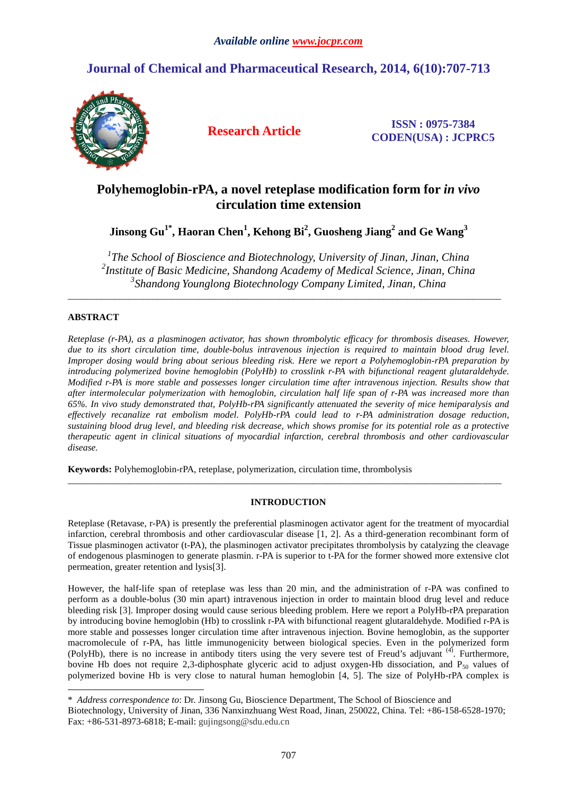# **Journal of Chemical and Pharmaceutical Research, 2014, 6(10):707-713**



**Research Article ISSN : 0975-7384 CODEN(USA) : JCPRC5**

# **Polyhemoglobin-rPA, a novel reteplase modification form for** *in vivo* **circulation time extension**

**Jinsong Gu1\* , Haoran Chen<sup>1</sup> , Kehong Bi<sup>2</sup> , Guosheng Jiang<sup>2</sup> and Ge Wang<sup>3</sup>**

*1 The School of Bioscience and Biotechnology, University of Jinan, Jinan, China 2 Institute of Basic Medicine, Shandong Academy of Medical Science, Jinan, China 3 Shandong Younglong Biotechnology Company Limited, Jinan, China*

\_\_\_\_\_\_\_\_\_\_\_\_\_\_\_\_\_\_\_\_\_\_\_\_\_\_\_\_\_\_\_\_\_\_\_\_\_\_\_\_\_\_\_\_\_\_\_\_\_\_\_\_\_\_\_\_\_\_\_\_\_\_\_\_\_\_\_\_\_\_\_\_\_\_\_\_\_\_\_\_\_\_\_\_\_\_\_\_\_\_\_\_

# **ABSTRACT**

*Reteplase (r-PA), as a plasminogen activator, has shown thrombolytic efficacy for thrombosis diseases. However, due to its short circulation time, double-bolus intravenous injection is required to maintain blood drug level. Improper dosing would bring about serious bleeding risk. Here we report a Polyhemoglobin-rPA preparation by introducing polymerized bovine hemoglobin (PolyHb) to crosslink r-PA with bifunctional reagent glutaraldehyde. Modified r-PA is more stable and possesses longer circulation time after intravenous injection. Results show that after intermolecular polymerization with hemoglobin, circulation half life span of r-PA was increased more than 65%. In vivo study demonstrated that, PolyHb-rPA significantly attenuated the severity of mice hemiparalysis and effectively recanalize rat embolism model. PolyHb-rPA could lead to r-PA administration dosage reduction, sustaining blood drug level, and bleeding risk decrease, which shows promise for its potential role as a protective therapeutic agent in clinical situations of myocardial infarction, cerebral thrombosis and other cardiovascular disease.*

**Keywords:** Polyhemoglobin-rPA, reteplase, polymerization, circulation time, thrombolysis

# **INTRODUCTION**

\_\_\_\_\_\_\_\_\_\_\_\_\_\_\_\_\_\_\_\_\_\_\_\_\_\_\_\_\_\_\_\_\_\_\_\_\_\_\_\_\_\_\_\_\_\_\_\_\_\_\_\_\_\_\_\_\_\_\_\_\_\_\_\_\_\_\_\_\_\_\_\_\_\_\_\_\_\_\_\_\_\_\_\_\_\_\_\_\_\_\_\_

Reteplase (Retavase, r-PA) is presently the preferential plasminogen activator agent for the treatment of myocardial infarction, cerebral thrombosis and other cardiovascular disease [1, 2]. As a third-generation recombinant form of Tissue plasminogen activator (t-PA), the plasminogen activator precipitates thrombolysis by catalyzing the cleavage of endogenous plasminogen to generate plasmin. r-PA is superior to t-PA for the former showed more extensive clot permeation, greater retention and lysis[3].

However, the half-life span of reteplase was less than 20 min, and the administration of r-PA was confined to perform as a double-bolus (30 min apart) intravenous injection in order to maintain blood drug level and reduce bleeding risk [3]. Improper dosing would cause serious bleeding problem. Here we report a PolyHb-rPA preparation by introducing bovine hemoglobin (Hb) to crosslink r-PA with bifunctional reagent glutaraldehyde. Modified r-PA is more stable and possesses longer circulation time after intravenous injection. Bovine hemoglobin, as the supporter macromolecule of r-PA, has little immunogenicity between biological species. Even in the polymerized form (PolyHb), there is no increase in antibody titers using the very severe test of Freud's adjuvant <sup>(4)</sup>. Furthermore, bovine Hb does not require 2,3-diphosphate glyceric acid to adjust oxygen-Hb dissociation, and  $P_{50}$  values of polymerized bovine Hb is very close to natural human hemoglobin [4, 5]. The size of PolyHb-rPA complex is

<sup>\*</sup> *Address correspondence to*: Dr. Jinsong Gu, Bioscience Department, The School of Bioscience and

Biotechnology, University of Jinan, 336 Nanxinzhuang West Road, Jinan, 250022, China. Tel: +86-158-6528-1970; Fax: +86-531-8973-6818; E-mail: gujingsong@sdu.edu.cn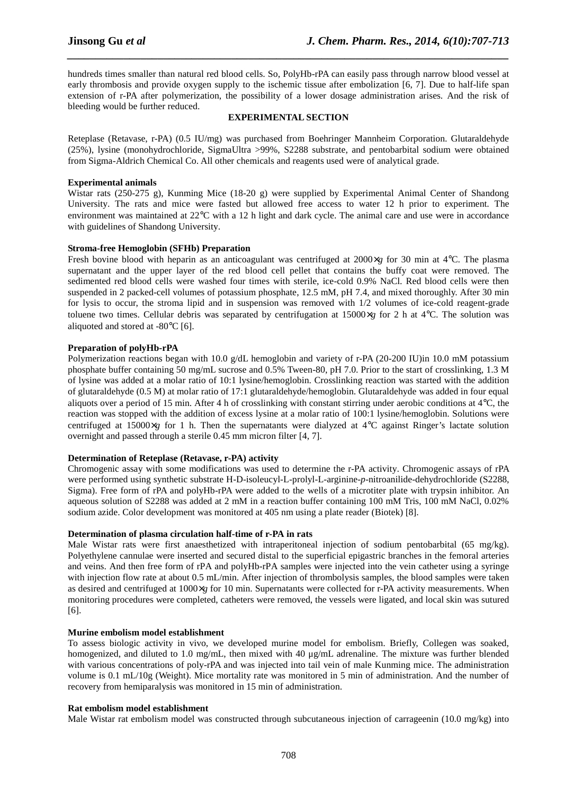hundreds times smaller than natural red blood cells. So, PolyHb-rPA can easily pass through narrow blood vessel at early thrombosis and provide oxygen supply to the ischemic tissue after embolization [6, 7]. Due to half-life span extension of r-PA after polymerization, the possibility of a lower dosage administration arises. And the risk of bleeding would be further reduced.

*\_\_\_\_\_\_\_\_\_\_\_\_\_\_\_\_\_\_\_\_\_\_\_\_\_\_\_\_\_\_\_\_\_\_\_\_\_\_\_\_\_\_\_\_\_\_\_\_\_\_\_\_\_\_\_\_\_\_\_\_\_\_\_\_\_\_\_\_\_\_\_\_\_\_\_\_\_\_*

#### **EXPERIMENTAL SECTION**

Reteplase (Retavase, r-PA) (0.5 IU/mg) was purchased from Boehringer Mannheim Corporation. Glutaraldehyde (25%), lysine (monohydrochloride, SigmaUltra >99%, S2288 substrate, and pentobarbital sodium were obtained from Sigma-Aldrich Chemical Co. All other chemicals and reagents used were of analytical grade.

# **Experimental animals**

Wistar rats (250-275 g), Kunming Mice (18-20 g) were supplied by Experimental Animal Center of Shandong University. The rats and mice were fasted but allowed free access to water 12 h prior to experiment. The environment was maintained at 22°C with a 12 h light and dark cycle. The animal care and use were in accordance with guidelines of Shandong University.

#### **Stroma-free Hemoglobin (SFHb) Preparation**

Fresh bovine blood with heparin as an anticoagulant was centrifuged at  $2000 \times g$  for 30 min at 4<sup>o</sup>C. The plasma supernatant and the upper layer of the red blood cell pellet that contains the buffy coat were removed. The sedimented red blood cells were washed four times with sterile, ice-cold 0.9% NaCl. Red blood cells were then suspended in 2 packed-cell volumes of potassium phosphate, 12.5 mM, pH 7.4, and mixed thoroughly. After 30 min for lysis to occur, the stroma lipid and in suspension was removed with 1/2 volumes of ice-cold reagent-grade toluene two times. Cellular debris was separated by centrifugation at 15000×*g* for 2 h at 4°C. The solution was aliquoted and stored at -80°C [6].

# **Preparation of polyHb-rPA**

Polymerization reactions began with 10.0 g/dL hemoglobin and variety of r-PA (20-200 IU)in 10.0 mM potassium phosphate buffer containing 50 mg/mL sucrose and 0.5% Tween-80, pH 7.0. Prior to the start of crosslinking, 1.3 M of lysine was added at a molar ratio of 10:1 lysine/hemoglobin. Crosslinking reaction was started with the addition of glutaraldehyde (0.5 M) at molar ratio of 17:1 glutaraldehyde/hemoglobin. Glutaraldehyde was added in four equal aliquots over a period of 15 min. After 4 h of crosslinking with constant stirring under aerobic conditions at  $4^{\circ}$ C, the reaction was stopped with the addition of excess lysine at a molar ratio of 100:1 lysine/hemoglobin. Solutions were centrifuged at 15000×*g* for 1 h. Then the supernatants were dialyzed at 4°C against Ringer's lactate solution overnight and passed through a sterile 0.45 mm micron filter [4, 7].

# **Determination of Reteplase (Retavase, r-PA) activity**

Chromogenic assay with some modifications was used to determine the r-PA activity. Chromogenic assays of rPA were performed using synthetic substrate H-D-isoleucyl-L-prolyl-L-arginine-*p*-nitroanilide-dehydrochloride (S2288, Sigma). Free form of rPA and polyHb-rPA were added to the wells of a microtiter plate with trypsin inhibitor. An aqueous solution of S2288 was added at 2 mM in a reaction buffer containing 100 mM Tris, 100 mM NaCl, 0.02% sodium azide. Color development was monitored at 405 nm using a plate reader (Biotek) [8].

# **Determination of plasma circulation half-time of r-PA in rats**

Male Wistar rats were first anaesthetized with intraperitoneal injection of sodium pentobarbital (65 mg/kg). Polyethylene cannulae were inserted and secured distal to the superficial epigastric branches in the femoral arteries and veins. And then free form of rPA and polyHb-rPA samples were injected into the vein catheter using a syringe with injection flow rate at about 0.5 mL/min. After injection of thrombolysis samples, the blood samples were taken as desired and centrifuged at 1000×*g* for 10 min. Supernatants were collected for r-PA activity measurements. When monitoring procedures were completed, catheters were removed, the vessels were ligated, and local skin was sutured [6].

#### **Murine embolism model establishment**

To assess biologic activity in vivo, we developed murine model for embolism. Briefly, Collegen was soaked, homogenized, and diluted to 1.0 mg/mL, then mixed with 40 μg/mL adrenaline. The mixture was further blended with various concentrations of poly-rPA and was injected into tail vein of male Kunming mice. The administration volume is 0.1 mL/10g (Weight). Mice mortality rate was monitored in 5 min of administration. And the number of recovery from hemiparalysis was monitored in 15 min of administration.

#### **Rat embolism model establishment**

Male Wistar rat embolism model [was constructed through](mailto:gujingsong@sdu.edu.cn) subcutaneous injection of carrageenin (10.0 mg/kg) into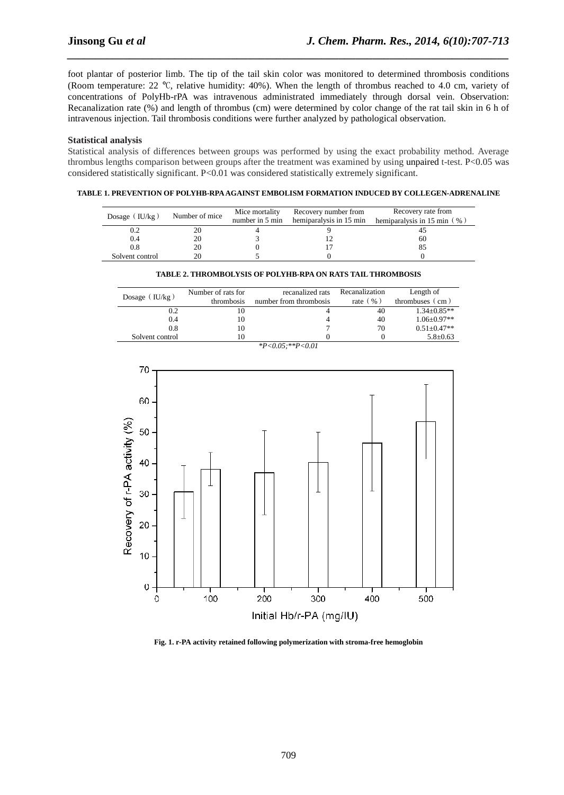foot plantar of posterior limb. The tip of the tail skin color was monitored to determined thrombosis conditions (Room temperature: 22 °C, relative humidity: 40%). When the length of thrombus reached to 4.0 cm, variety of concentrations of PolyHb-rPA was intravenous administrated immediately through dorsal vein. Observation: Recanalization rate (%) and length of thrombus (cm) were determined by color change of the rat tail skin in 6 h of intravenous injection. Tail thrombosis conditions were further analyzed by pathological observation.

*\_\_\_\_\_\_\_\_\_\_\_\_\_\_\_\_\_\_\_\_\_\_\_\_\_\_\_\_\_\_\_\_\_\_\_\_\_\_\_\_\_\_\_\_\_\_\_\_\_\_\_\_\_\_\_\_\_\_\_\_\_\_\_\_\_\_\_\_\_\_\_\_\_\_\_\_\_\_*

#### **Statistical analysis**

Statistical analysis of differences between groups was performed by using the exact probability method. Average thrombus lengths comparison between groups after the treatment was examined by using unpaired t-test. P<0.05 was considered statistically significant. P<0.01 was considered statistically extremely significant.

### **TABLE 1. PREVENTION OF POLYHB-RPA AGAINST EMBOLISM FORMATION INDUCED BY COLLEGEN-ADRENALINE**

| Dosage ( $IU/kg$ ) | Number of mice | Mice mortality | Recovery number from<br>number in 5 min hemiparalysis in 15 min | Recovery rate from<br>hemiparalysis in 15 min $(\% )$ |
|--------------------|----------------|----------------|-----------------------------------------------------------------|-------------------------------------------------------|
| 0.2                |                |                |                                                                 |                                                       |
| 0.4                |                |                |                                                                 | 60                                                    |
| 0.8                |                |                |                                                                 |                                                       |
| Solvent control    |                |                |                                                                 |                                                       |

#### **TABLE 2. THROMBOLYSIS OF POLYHB-RPA ON RATS TAIL THROMBOSIS**

| Dosage ( $IU/kg$ ) | Number of rats for<br>thrombosis | recanalized rats<br>number from thrombosis | Recanalization<br>rate $(\% )$ | Length of<br>thrombuses $\left($ cm $\right)$ |
|--------------------|----------------------------------|--------------------------------------------|--------------------------------|-----------------------------------------------|
| 0.2                | 10                               |                                            | 40                             | $1.34 \pm 0.85**$                             |
| 0.4                | 10                               |                                            | 40                             | $1.06 \pm 0.97**$                             |
| 0.8                | 10                               |                                            | 70                             | $0.51 + 0.47**$                               |
| Solvent control    | 10                               |                                            |                                | $5.8 \pm 0.63$                                |

*\*P<0.05;\*\*P<0.01*



**Fig. 1. r-PA activity retained following polymerization with stroma-free hemoglobin**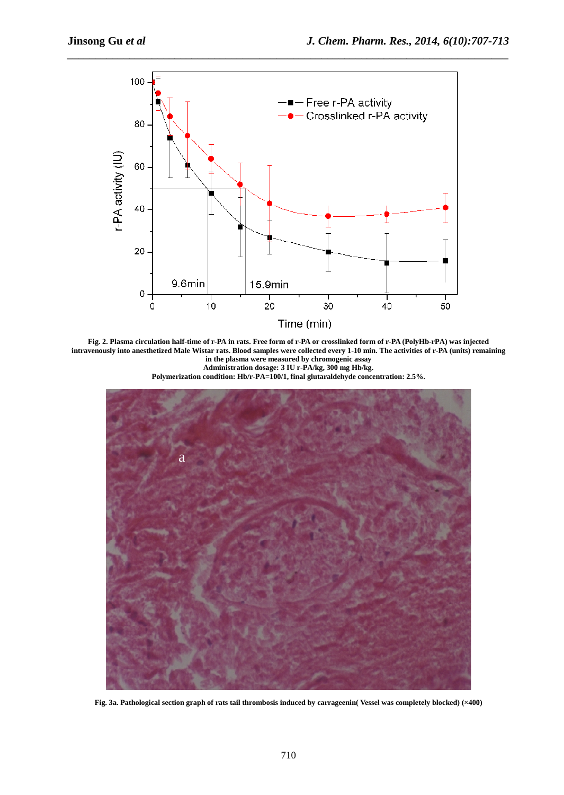

**Fig. 2. Plasma circulation half-time of r-PA in rats. Free form of r-PA or crosslinked form of r-PA (PolyHb-rPA) was injected intravenously into anesthetized Male Wistar rats. Blood samples were collected every 1-10 min. The activities of r-PA (units) remaining in the plasma were measured by chromogenic assay Administration dosage: 3 IU r-PA/kg, 300 mg Hb/kg.**

**Polymerization condition: Hb/r-PA=100/1, final glutaraldehyde concentration: 2.5%.**



**Fig. 3a. Pathological section graph of rats tail thrombosis induced by carrageenin( Vessel was completely blocked) (×400)**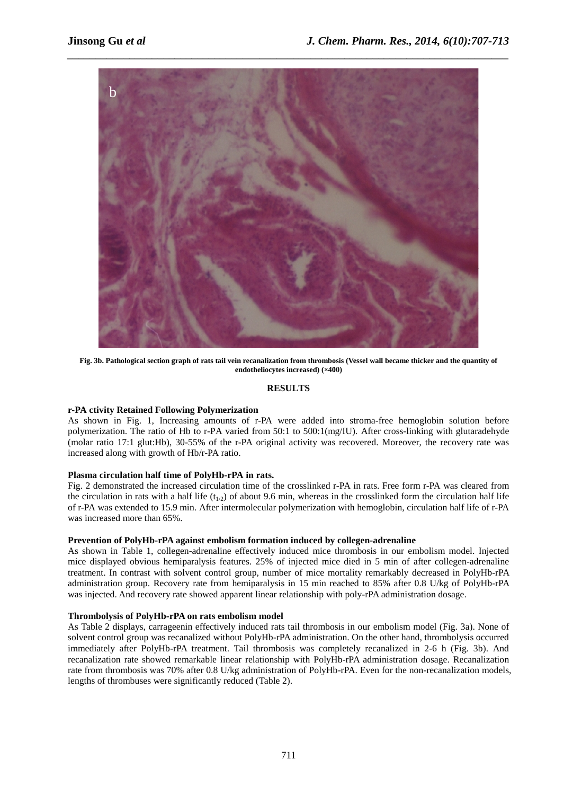

**Fig. 3b. Pathological section graph of rats tail vein recanalization from thrombosis (Vessel wall became thicker and the quantity of endotheliocytes increased) (×400)**

# **RESULTS**

# **r-PA ctivity Retained Following Polymerization**

As shown in Fig. 1, Increasing amounts of r-PA were added into stroma-free hemoglobin solution before polymerization. The ratio of Hb to r-PA varied from 50:1 to 500:1(mg/IU). After cross-linking with glutaradehyde (molar ratio 17:1 glut:Hb), 30-55% of the r-PA original activity was recovered. Moreover, the recovery rate was increased along with growth of Hb/r-PA ratio.

# **Plasma circulation half time of PolyHb-rPA in rats.**

Fig. 2 demonstrated the increased circulation time of the crosslinked r-PA in rats. Free form r-PA was cleared from the circulation in rats with a half life  $(t_{1/2})$  of about 9.6 min, whereas in the crosslinked form the circulation half life of r-PA was extended to 15.9 min. After intermolecular polymerization with hemoglobin, circulation half life of r-PA was increased more than 65%.

# **Prevention of PolyHb-rPA against embolism formation induced by collegen-adrenaline**

As shown in Table 1, collegen-adrenaline effectively induced mice thrombosis in our embolism model. Injected mice displayed obvious hemiparalysis features. 25% of injected mice died in 5 min of after collegen-adrenaline treatment. In contrast with solvent control group, number of mice mortality remarkably decreased in PolyHb-rPA administration group. Recovery rate from hemiparalysis in 15 min reached to 85% after 0.8 U/kg of PolyHb-rPA was injected. And recovery rate showed apparent linear relationship with poly-rPA administration dosage.

# **Thrombolysis of PolyHb-rPA on rats embolism model**

As Table 2 displays, carrageenin effectively induced rats tail thrombosis in our embolism model (Fig. 3a). None of solvent control group was recanalized without PolyHb-rPA administration. On the other hand, thrombolysis occurred immediately after PolyHb-rPA treatment. Tail thrombosis was completely recanalized in 2-6 h (Fig. 3b). And recanalization rate showed remarkable linear relationship with PolyHb-rPA administration dosage. Recanalization rate from thrombosis was 70% after 0.8 U/kg administration of PolyHb-rPA. Even for the non-recanalization models, lengths of thrombuses were significantly reduced (Table 2).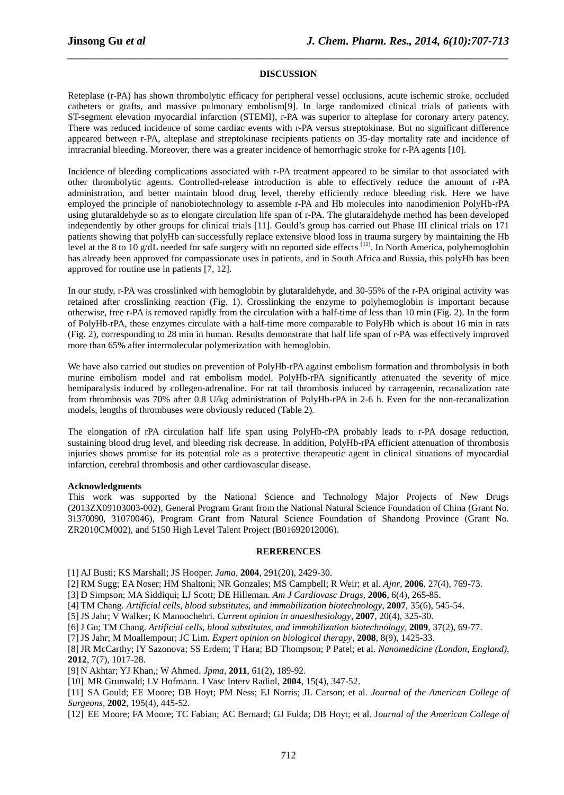# *\_\_\_\_\_\_\_\_\_\_\_\_\_\_\_\_\_\_\_\_\_\_\_\_\_\_\_\_\_\_\_\_\_\_\_\_\_\_\_\_\_\_\_\_\_\_\_\_\_\_\_\_\_\_\_\_\_\_\_\_\_\_\_\_\_\_\_\_\_\_\_\_\_\_\_\_\_\_* **DISCUSSION**

Reteplase (r-PA) has shown thrombolytic efficacy for peripheral vessel occlusions, acute ischemic stroke, occluded catheters or grafts, and massive pulmonary embolism[9]. In large randomized clinical trials of patients with ST-segment elevation myocardial infarction (STEMI), r-PA was superior to alteplase for coronary artery patency. There was reduced incidence of some cardiac events with r-PA versus streptokinase. But no significant difference appeared between r-PA, alteplase and streptokinase recipients patients on 35-day mortality rate and incidence of intracranial bleeding. Moreover, there was a greater incidence of hemorrhagic stroke for r-PA agents [10].

Incidence of bleeding complications associated with r-PA treatment appeared to be similar to that associated with other thrombolytic agents. Controlled-release introduction is able to effectively reduce the amount of r-PA administration, and better maintain blood drug level, thereby efficiently reduce bleeding risk. Here we have employed the principle of nanobiotechnology to assemble r-PA and Hb molecules into nanodimenion PolyHb-rPA using glutaraldehyde so as to elongate circulation life span of r-PA. The glutaraldehyde method has been developed independently by other groups for clinical trials [11]. Gould's group has carried out Phase III clinical trials on 171 patients showing that polyHb can successfully replace extensive blood loss in trauma surgery by maintaining the Hb level at the 8 to 10 g/dL needed for safe surgery with no reported side effects <sup>(11)</sup>. In North America, polyhemoglobin has already been approved for compassionate uses in patients, and in South Africa and Russia, this polyHb has been approved for routine use in patients [7, 12].

In our study, r-PA was crosslinked with hemoglobin by glutaraldehyde, and 30-55% of the r-PA original activity was retained after crosslinking reaction (Fig. 1). Crosslinking the enzyme to polyhemoglobin is important because otherwise, free r-PA is removed rapidly from the circulation with a half-time of less than 10 min (Fig. 2). In the form of PolyHb-rPA, these enzymes circulate with a half-time more comparable to PolyHb which is about 16 min in rats (Fig. 2), corresponding to 28 min in human. Results demonstrate that half life span of r-PA was effectively improved more than 65% after intermolecular polymerization with hemoglobin.

We have also carried out studies on prevention of PolyHb-rPA against embolism formation and thrombolysis in both murine embolism model and rat embolism model. PolyHb-rPA significantly attenuated the severity of mice hemiparalysis induced by collegen-adrenaline. For rat tail thrombosis induced by carrageenin, recanalization rate from thrombosis was 70% after 0.8 U/kg administration of PolyHb-rPA in 2-6 h. Even for the non-recanalization models, lengths of thrombuses were obviously reduced (Table 2).

The elongation of rPA circulation half life span using PolyHb-rPA probably leads to r-PA dosage reduction, sustaining blood drug level, and bleeding risk decrease. In addition, PolyHb-rPA efficient attenuation of thrombosis injuries shows promise for its potential role as a protective therapeutic agent in clinical situations of myocardial infarction, cerebral thrombosis and other cardiovascular disease.

# **Acknowledgments**

This work was supported by the National Science and Technology Major Projects of New Drugs (2013ZX09103003-002), General Program Grant from the National Natural Science Foundation of China (Grant No. 31370090, 31070046), Program Grant from Natural Science Foundation of Shandong Province (Grant No. ZR2010CM002), and 5150 High Level Talent Project (B01692012006).

#### **RERERENCES**

[1] AJ Busti; KS Marshall; JS Hooper. *Jama*, **2004**, 291(20), 2429-30.

[2] RM Sugg; EA Noser; HM Shaltoni; NR Gonzales; MS Campbell; R Weir; et al. *Ajnr*, **2006**, 27(4), 769-73.

[3] D Simpson; MA Siddiqui; LJ Scott; DE Hilleman. *Am J Cardiovasc Drugs*, **2006**, 6(4), 265-85.

[4] TM Chang. *Artificial cells, blood substitutes, and immobilization biotechnology*, **2007**, 35(6), 545-54.

[5]JS Jahr; V Walker; K Manoochehri. *Current opinion in anaesthesiology*, **2007**, 20(4), 325-30.

[6]J Gu; TM Chang. *Artificial cells, blood substitutes, and immobilization biotechnology*, **2009**, 37(2), 69-77.

[7]JS Jahr; M Moallempour; JC Lim. *Expert opinion on biological therapy*, **2008**, 8(9), 1425-33.

[8]JR McCarthy; IY Sazonova; SS Erdem; T Hara; BD Thompson; P Patel; et al. *Nanomedicine (London, England)*, **2012**, 7(7), 1017-28.

[9] N Akhtar; YJ Khan,; W Ahmed. *Jpma*, **2011**, 61(2), 189-92.

[10] MR Grunwald; LV Hofmann. J Vasc Interv Radiol, **2004**, 15(4), 347-52.

[11] SA Gould; EE Moore; DB Hoyt; PM Ness; EJ Norris; JL Carson; et al. *Journal of the American College of Surgeons*, **2002**, 195(4), 445-52.

[12] EE Moore; FA Moore; TC Fabian; AC Bernard; GJ Fulda; DB Hoyt; et al. J*ournal of the American College of*